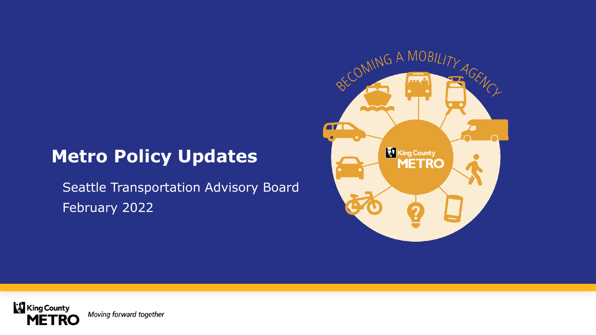### **Metro Policy Updates**

Seattle Transportation Advisory Board February 2022



**King County** Moving forward together **METRO**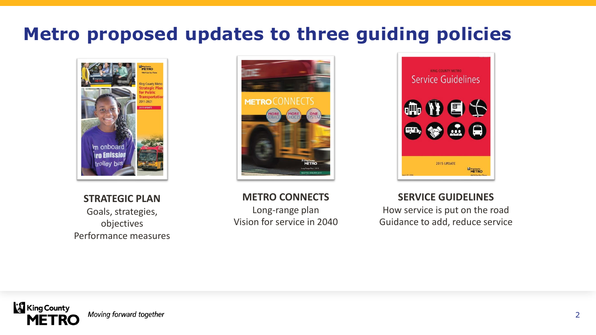## **Metro proposed updates to three guiding policies**



**STRATEGIC PLAN**

Goals, strategies, objectives Performance measures



**METRO CONNECTS** Long-range plan

Vision for service in 2040



**SERVICE GUIDELINES** How service is put on the road Guidance to add, reduce service

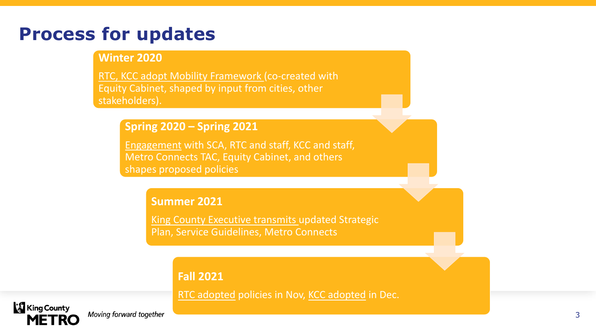### **Process for updates**

### **Winter 2020**

RTC, KCC adopt Mobility Framework (co-created with Equity Cabinet, shaped by input from cities, other stakeholders).

### **Spring 2020 – Spring 2021**

Engagement with SCA, RTC and staff, KCC and staff, Metro Connects TAC, Equity Cabinet, and others shapes proposed policies

#### **Summer 2021**

King County Executive transmits updated Strategic Plan, Service Guidelines, Metro Connects

### **Fall 2021**

RTC adopted policies in Nov, KCC adopted in Dec.

Moving forward together

**King County** 

**METRO**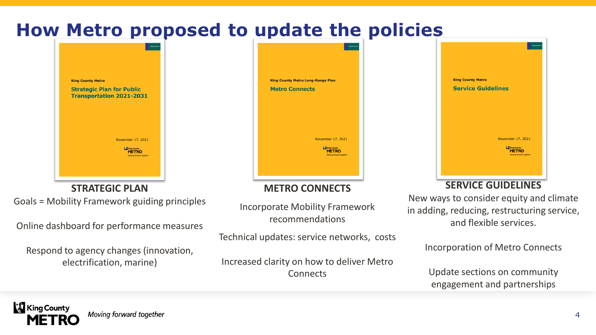### **How Metro proposed to update the policies**



**STRATEGIC PLAN**

Goals = Mobility Framework guiding principles

Online dashboard for performance measures

Respond to agency changes (innovation, electrification, marine)

|                       | <b>King County Metro Long-Range Plan</b> |
|-----------------------|------------------------------------------|
| <b>Metro Connects</b> |                                          |
|                       |                                          |
|                       |                                          |
|                       |                                          |
|                       |                                          |
|                       |                                          |
|                       |                                          |
|                       | November 17, 2021                        |
|                       | King County<br>METRO                     |
|                       | Moving forward together                  |
|                       |                                          |

### **METRO CONNECTS**

Incorporate Mobility Framework recommendations

Technical updates: service networks, costs

Increased clarity on how to deliver Metro **Connects** 



New ways to consider equity and climate in adding, reducing, restructuring service, and flexible services.

Incorporation of Metro Connects

Update sections on community engagement and partnerships

**King County**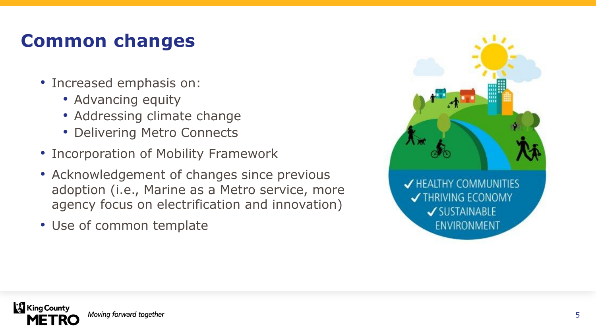# **Common changes**

- Increased emphasis on:
	- Advancing equity
	- Addressing climate change
	- Delivering Metro Connects
- Incorporation of Mobility Framework
- Acknowledgement of changes since previous adoption (i.e., Marine as a Metro service, more agency focus on electrification and innovation)
- Use of common template

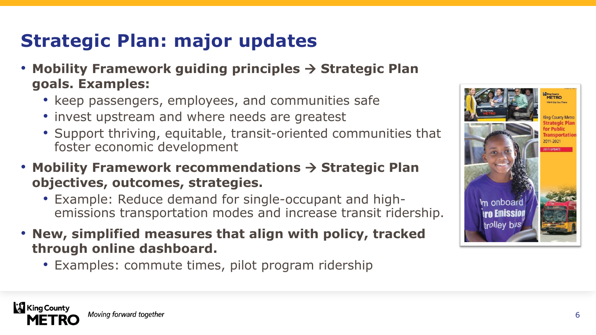# **Strategic Plan: major updates**

- **Mobility Framework guiding principles** → **Strategic Plan goals. Examples:**
	- keep passengers, employees, and communities safe
	- invest upstream and where needs are greatest
	- Support thriving, equitable, transit-oriented communities that foster economic development
- **Mobility Framework recommendations** → **Strategic Plan objectives, outcomes, strategies.** 
	- Example: Reduce demand for single-occupant and highemissions transportation modes and increase transit ridership.
- **New, simplified measures that align with policy, tracked through online dashboard.** 
	- Examples: commute times, pilot program ridership

**& King County** 

Moving forward together

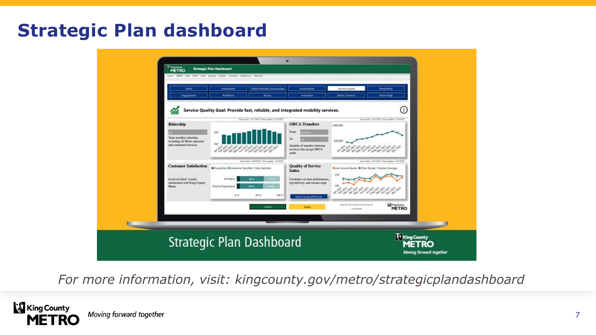# **Strategic Plan dashboard**



*For more information, visit: kingcounty.gov/metro/strategicplandashboard*

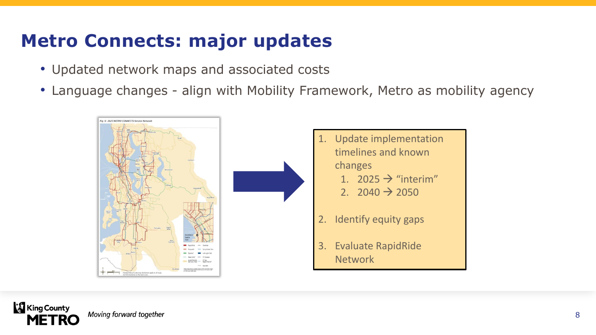# **Metro Connects: major updates**

- Updated network maps and associated costs
- Language changes align with Mobility Framework, Metro as mobility agency

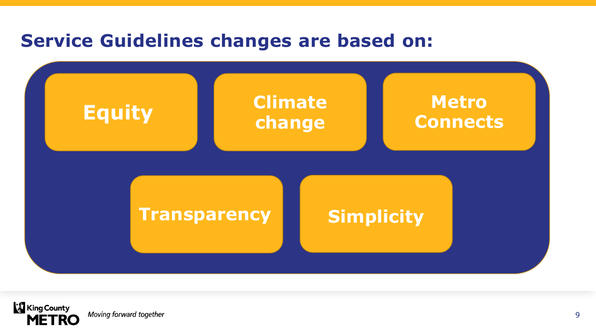### **Service Guidelines changes are based on:**



**King County** Moving forward together **METRO**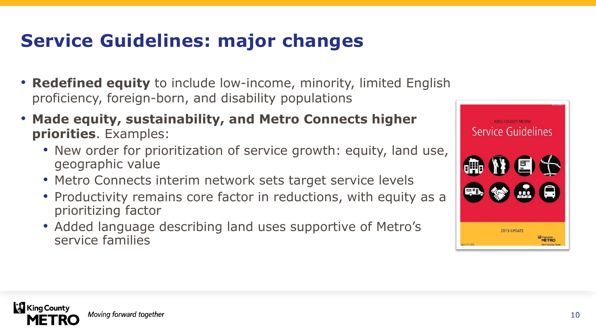# **Service Guidelines: major changes**

- **Redefined equity** to include low-income, minority, limited English proficiency, foreign-born, and disability populations
- **Made equity, sustainability, and Metro Connects higher priorities**. Examples:
	- New order for prioritization of service growth: equity, land use, geographic value
	- Metro Connects interim network sets target service levels
	- Productivity remains core factor in reductions, with equity as a prioritizing factor
	- Added language describing land uses supportive of Metro's service families